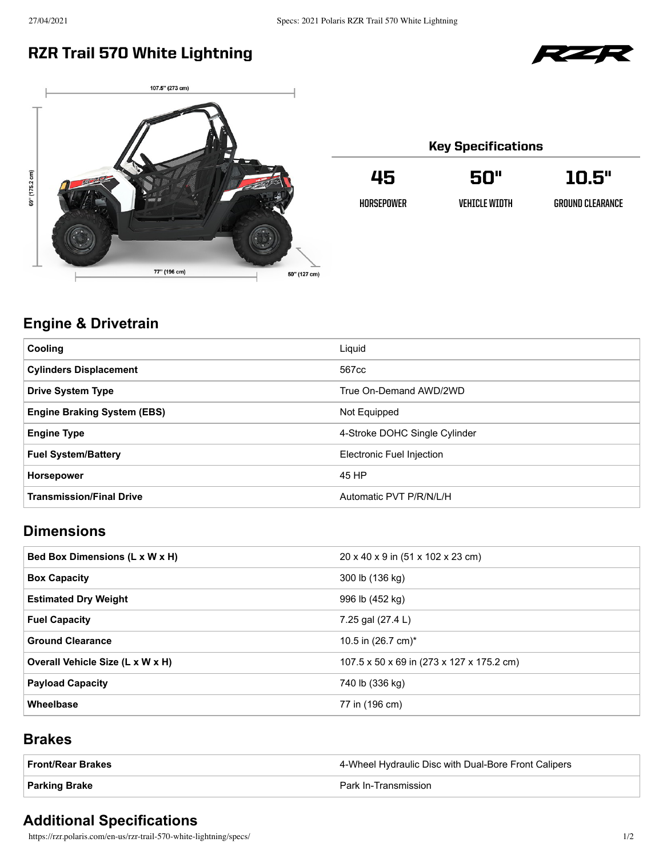## RZR Trail 570 White Lightning





| <b>Key Specifications</b> |                |                  |
|---------------------------|----------------|------------------|
| 45                        | 50"            | 10.5"            |
| HORSFPOWFR                | VEHTCI E WTNTH | GROUND CLEARANCE |
|                           |                |                  |

## **Engine & Drivetrain**

| <b>Cooling</b>                     | Liquid                        |
|------------------------------------|-------------------------------|
| <b>Cylinders Displacement</b>      | 567cc                         |
| <b>Drive System Type</b>           | True On-Demand AWD/2WD        |
| <b>Engine Braking System (EBS)</b> | Not Equipped                  |
| <b>Engine Type</b>                 | 4-Stroke DOHC Single Cylinder |
| <b>Fuel System/Battery</b>         | Electronic Fuel Injection     |
| <b>Horsepower</b>                  | 45 HP                         |
| <b>Transmission/Final Drive</b>    | Automatic PVT P/R/N/L/H       |

### **Dimensions**

| Bed Box Dimensions (L x W x H)   | 20 x 40 x 9 in (51 x 102 x 23 cm)         |
|----------------------------------|-------------------------------------------|
| <b>Box Capacity</b>              | 300 lb (136 kg)                           |
| <b>Estimated Dry Weight</b>      | 996 lb (452 kg)                           |
| <b>Fuel Capacity</b>             | 7.25 gal (27.4 L)                         |
| <b>Ground Clearance</b>          | 10.5 in $(26.7 \text{ cm})^*$             |
| Overall Vehicle Size (L x W x H) | 107.5 x 50 x 69 in (273 x 127 x 175.2 cm) |
| <b>Payload Capacity</b>          | 740 lb (336 kg)                           |
| Wheelbase                        | 77 in (196 cm)                            |

### **Brakes**

| ∣ Front/Rear Brakes | 4-Wheel Hydraulic Disc with Dual-Bore Front Calipers |
|---------------------|------------------------------------------------------|
| ∣ Parking Brake     | Park In-Transmission                                 |

## **Additional Specifications**

https://rzr.polaris.com/en-us/rzr-trail-570-white-lightning/specs/ 1/2